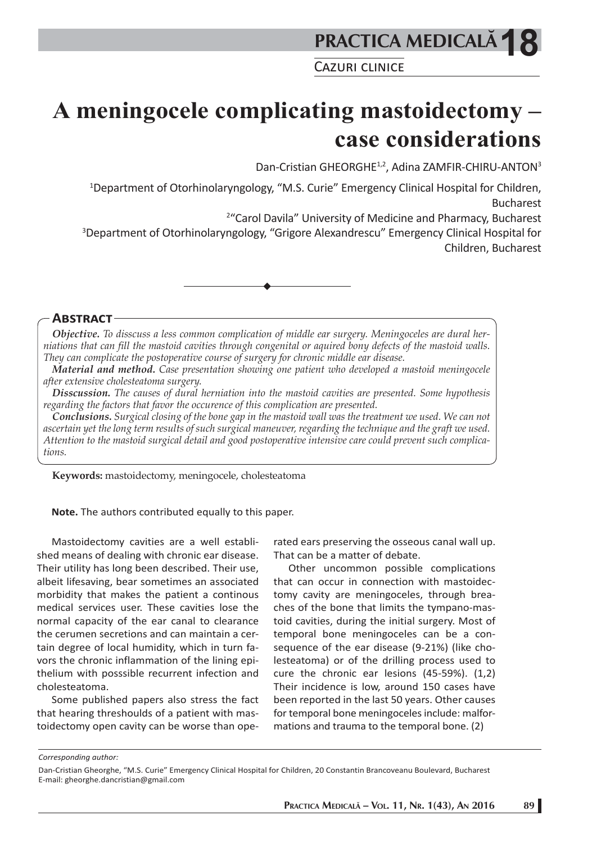# **A meningocele complicating mastoidectomy – case considerations**

Dan-Cristian GHEORGHE<sup>1,2</sup>, Adina ZAMFIR-CHIRU-ANTON<sup>3</sup>

<sup>1</sup>Department of Otorhinolaryngology, "M.S. Curie" Emergency Clinical Hospital for Children, Bucharest

2 "Carol Davila" University of Medicine and Pharmacy, Bucharest

3 Department of Otorhinolaryngology, "Grigore Alexandrescu" Emergency Clinical Hospital for Children, Bucharest



#### **ABSTRACT**

*Objective. To disscuss a less common complication of middle ear surgery. Meningoceles are dural herniations that can fill the mastoid cavities through congenital or aquired bony defects of the mastoid walls. They can complicate the postoperative course of surgery for chronic middle ear disease.*

*Material and method. Case presentation showing one patient who developed a mastoid meningocele after extensive cholesteatoma surgery.*

*Disscussion. The causes of dural herniation into the mastoid cavities are presented. Some hypothesis regarding the factors that favor the occurence of this complication are presented.* 

*Conclusions. Surgical closing of the bone gap in the mastoid wall was the treatment we used. We can not ascertain yet the long term results of such surgical maneuver, regarding the technique and the graft we used. Attention to the mastoid surgical detail and good postoperative intensive care could prevent such complications.*

**Keywords:** mastoidectomy, meningocele, cholesteatoma

**Note.** The authors contributed equally to this paper.

Mastoidectomy cavities are a well established means of dealing with chronic ear disease. Their utility has long been described. Their use, albeit lifesaving, bear sometimes an associated morbidity that makes the patient a continous medical services user. These cavities lose the normal capacity of the ear canal to clearance the cerumen secretions and can maintain a certain degree of local humidity, which in turn favors the chronic inflammation of the lining epithelium with posssible recurrent infection and cholesteatoma.

Some published papers also stress the fact that hearing threshoulds of a patient with mastoidectomy open cavity can be worse than ope-

rated ears preserving the osseous canal wall up. That can be a matter of debate.

Other uncommon possible complications that can occur in connection with mastoidectomy cavity are meningoceles, through breaches of the bone that limits the tympano-mastoid cavities, during the initial surgery. Most of temporal bone meningoceles can be a consequence of the ear disease (9-21%) (like cholesteatoma) or of the drilling process used to cure the chronic ear lesions (45-59%). (1,2) Their incidence is low, around 150 cases have been reported in the last 50 years. Other causes for temporal bone meningoceles include: malformations and trauma to the temporal bone. (2)

*Corresponding author:* 

Dan-Cristian Gheorghe, "M.S. Curie" Emergency Clinical Hospital for Children, 20 Constantin Brancoveanu Boulevard, Bucharest E-mail: gheorghe.dancristian@gmail.com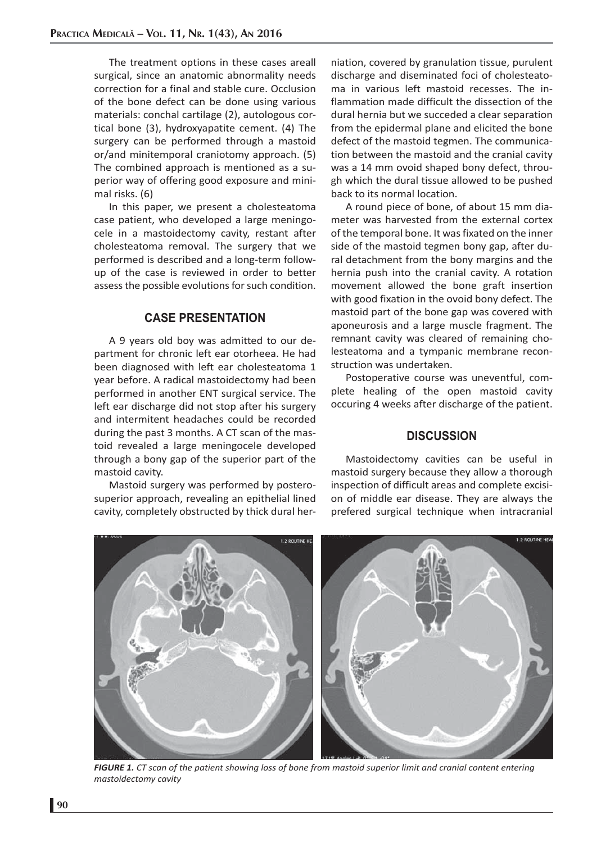The treatment options in these cases areall surgical, since an anatomic abnormality needs correction for a final and stable cure. Occlusion of the bone defect can be done using various materials: conchal cartilage (2), autologous cortical bone (3), hydroxyapatite cement. (4) The surgery can be performed through a mastoid or/and minitemporal craniotomy approach. (5) The combined approach is mentioned as a superior way of offering good exposure and minimal risks. (6)

In this paper, we present a cholesteatoma case patient, who developed a large meningocele in a mastoidectomy cavity, restant after cholesteatoma removal. The surgery that we performed is described and a long-term followup of the case is reviewed in order to better assess the possible evolutions for such condition.

### **CASE PRESENTATION**

A 9 years old boy was admitted to our department for chronic left ear otorheea. He had been diagnosed with left ear cholesteatoma 1 year before. A radical mastoidectomy had been performed in another ENT surgical service. The left ear discharge did not stop after his surgery and intermitent headaches could be recorded during the past 3 months. A CT scan of the mastoid revealed a large meningocele developed through a bony gap of the superior part of the mastoid cavity.

Mastoid surgery was performed by posterosuperior approach, revealing an epithelial lined cavity, completely obstructed by thick dural herniation, covered by granulation tissue, purulent discharge and diseminated foci of cholesteatoma in various left mastoid recesses. The inflammation made difficult the dissection of the dural hernia but we succeded a clear separation from the epidermal plane and elicited the bone defect of the mastoid tegmen. The communication between the mastoid and the cranial cavity was a 14 mm ovoid shaped bony defect, through which the dural tissue allowed to be pushed back to its normal location.

A round piece of bone, of about 15 mm diameter was harvested from the external cortex of the temporal bone. It was fixated on the inner side of the mastoid tegmen bony gap, after dural detachment from the bony margins and the hernia push into the cranial cavity. A rotation movement allowed the bone graft insertion with good fixation in the ovoid bony defect. The mastoid part of the bone gap was covered with aponeurosis and a large muscle fragment. The remnant cavity was cleared of remaining cholesteatoma and a tympanic membrane reconstruction was undertaken.

Postoperative course was uneventful, complete healing of the open mastoid cavity occuring 4 weeks after discharge of the patient.

#### **DISCUSSION**

Mastoidectomy cavities can be useful in mastoid surgery because they allow a thorough inspection of difficult areas and complete excision of middle ear disease. They are always the prefered surgical technique when intracranial



*FIGURE 1. CT scan of the patient showing loss of bone from mastoid superior limit and cranial content entering mastoidectomy cavity*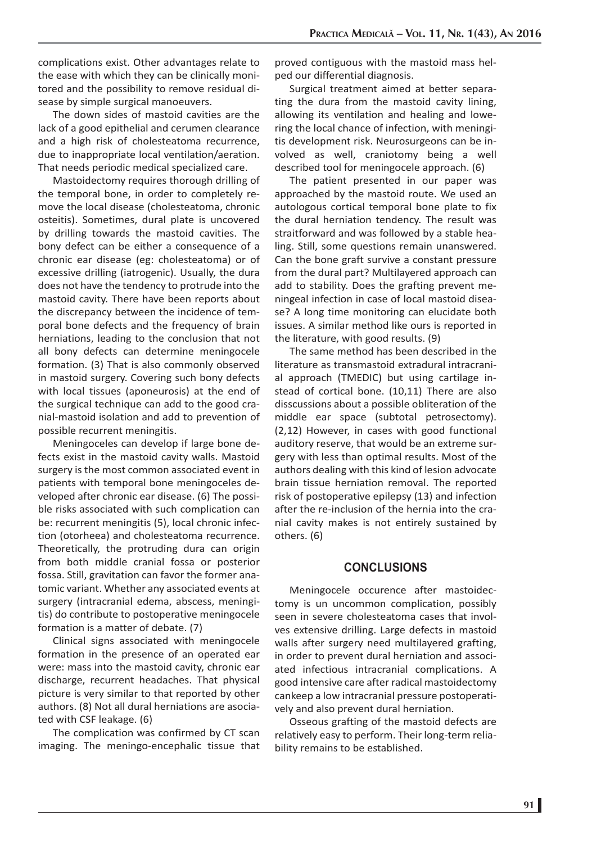complications exist. Other advantages relate to the ease with which they can be clinically monitored and the possibility to remove residual disease by simple surgical manoeuvers.

The down sides of mastoid cavities are the lack of a good epithelial and cerumen clearance and a high risk of cholesteatoma recurrence, due to inappropriate local ventilation/aeration. That needs periodic medical specialized care.

Mastoidectomy requires thorough drilling of the temporal bone, in order to completely remove the local disease (cholesteatoma, chronic osteitis). Sometimes, dural plate is uncovered by drilling towards the mastoid cavities. The bony defect can be either a consequence of a chronic ear disease (eg: cholesteatoma) or of excessive drilling (iatrogenic). Usually, the dura does not have the tendency to protrude into the mastoid cavity. There have been reports about the discrepancy between the incidence of temporal bone defects and the frequency of brain herniations, leading to the conclusion that not all bony defects can determine meningocele formation. (3) That is also commonly observed in mastoid surgery. Covering such bony defects with local tissues (aponeurosis) at the end of the surgical technique can add to the good cranial-mastoid isolation and add to prevention of possible recurrent meningitis.

Meningoceles can develop if large bone defects exist in the mastoid cavity walls. Mastoid surgery is the most common associated event in patients with temporal bone meningoceles developed after chronic ear disease. (6) The possible risks associated with such complication can be: recurrent meningitis (5), local chronic infection (otorheea) and cholesteatoma recurrence. Theoretically, the protruding dura can origin from both middle cranial fossa or posterior fossa. Still, gravitation can favor the former anatomic variant. Whether any associated events at surgery (intracranial edema, abscess, meningitis) do contribute to postoperative meningocele formation is a matter of debate. (7)

Clinical signs associated with meningocele formation in the presence of an operated ear were: mass into the mastoid cavity, chronic ear discharge, recurrent headaches. That physical picture is very similar to that reported by other authors. (8) Not all dural herniations are asociated with CSF leakage. (6)

The complication was confirmed by CT scan imaging. The meningo-encephalic tissue that proved contiguous with the mastoid mass helped our differential diagnosis.

Surgical treatment aimed at better separating the dura from the mastoid cavity lining, allowing its ventilation and healing and lowering the local chance of infection, with meningitis development risk. Neurosurgeons can be involved as well, craniotomy being a well described tool for meningocele approach. (6)

The patient presented in our paper was approached by the mastoid route. We used an autologous cortical temporal bone plate to fix the dural herniation tendency. The result was straitforward and was followed by a stable healing. Still, some questions remain unanswered. Can the bone graft survive a constant pressure from the dural part? Multilayered approach can add to stability. Does the grafting prevent meningeal infection in case of local mastoid disease? A long time monitoring can elucidate both issues. A similar method like ours is reported in the literature, with good results. (9)

The same method has been described in the literature as transmastoid extradural intracranial approach (TMEDIC) but using cartilage instead of cortical bone. (10,11) There are also disscussions about a possible obliteration of the middle ear space (subtotal petrosectomy). (2,12) However, in cases with good functional auditory reserve, that would be an extreme surgery with less than optimal results. Most of the authors dealing with this kind of lesion advocate brain tissue herniation removal. The reported risk of postoperative epilepsy (13) and infection after the re-inclusion of the hernia into the cranial cavity makes is not entirely sustained by others. (6)

#### **CONCLUSIONS**

Meningocele occurence after mastoidectomy is un uncommon complication, possibly seen in severe cholesteatoma cases that involves extensive drilling. Large defects in mastoid walls after surgery need multilayered grafting, in order to prevent dural herniation and associated infectious intracranial complications. A good intensive care after radical mastoidectomy cankeep a low intracranial pressure postoperatively and also prevent dural herniation.

Osseous grafting of the mastoid defects are relatively easy to perform. Their long-term reliability remains to be established.